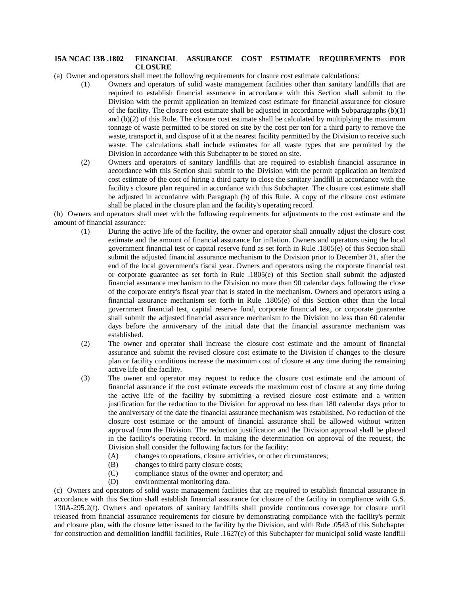## **15A NCAC 13B .1802 FINANCIAL ASSURANCE COST ESTIMATE REQUIREMENTS FOR CLOSURE**

(a) Owner and operators shall meet the following requirements for closure cost estimate calculations:

- (1) Owners and operators of solid waste management facilities other than sanitary landfills that are required to establish financial assurance in accordance with this Section shall submit to the Division with the permit application an itemized cost estimate for financial assurance for closure of the facility. The closure cost estimate shall be adjusted in accordance with Subparagraphs  $(b)(1)$ and (b)(2) of this Rule. The closure cost estimate shall be calculated by multiplying the maximum tonnage of waste permitted to be stored on site by the cost per ton for a third party to remove the waste, transport it, and dispose of it at the nearest facility permitted by the Division to receive such waste. The calculations shall include estimates for all waste types that are permitted by the Division in accordance with this Subchapter to be stored on site.
- (2) Owners and operators of sanitary landfills that are required to establish financial assurance in accordance with this Section shall submit to the Division with the permit application an itemized cost estimate of the cost of hiring a third party to close the sanitary landfill in accordance with the facility's closure plan required in accordance with this Subchapter. The closure cost estimate shall be adjusted in accordance with Paragraph (b) of this Rule. A copy of the closure cost estimate shall be placed in the closure plan and the facility's operating record.

(b) Owners and operators shall meet with the following requirements for adjustments to the cost estimate and the amount of financial assurance:

- (1) During the active life of the facility, the owner and operator shall annually adjust the closure cost estimate and the amount of financial assurance for inflation. Owners and operators using the local government financial test or capital reserve fund as set forth in Rule .1805(e) of this Section shall submit the adjusted financial assurance mechanism to the Division prior to December 31, after the end of the local government's fiscal year. Owners and operators using the corporate financial test or corporate guarantee as set forth in Rule .1805(e) of this Section shall submit the adjusted financial assurance mechanism to the Division no more than 90 calendar days following the close of the corporate entity's fiscal year that is stated in the mechanism. Owners and operators using a financial assurance mechanism set forth in Rule .1805(e) of this Section other than the local government financial test, capital reserve fund, corporate financial test, or corporate guarantee shall submit the adjusted financial assurance mechanism to the Division no less than 60 calendar days before the anniversary of the initial date that the financial assurance mechanism was established.
- (2) The owner and operator shall increase the closure cost estimate and the amount of financial assurance and submit the revised closure cost estimate to the Division if changes to the closure plan or facility conditions increase the maximum cost of closure at any time during the remaining active life of the facility.
- (3) The owner and operator may request to reduce the closure cost estimate and the amount of financial assurance if the cost estimate exceeds the maximum cost of closure at any time during the active life of the facility by submitting a revised closure cost estimate and a written justification for the reduction to the Division for approval no less than 180 calendar days prior to the anniversary of the date the financial assurance mechanism was established. No reduction of the closure cost estimate or the amount of financial assurance shall be allowed without written approval from the Division. The reduction justification and the Division approval shall be placed in the facility's operating record. In making the determination on approval of the request, the Division shall consider the following factors for the facility:
	- (A) changes to operations, closure activities, or other circumstances;
	- (B) changes to third party closure costs;
	- (C) compliance status of the owner and operator; and
	- (D) environmental monitoring data.

(c) Owners and operators of solid waste management facilities that are required to establish financial assurance in accordance with this Section shall establish financial assurance for closure of the facility in compliance with G.S. 130A-295.2(f). Owners and operators of sanitary landfills shall provide continuous coverage for closure until released from financial assurance requirements for closure by demonstrating compliance with the facility's permit and closure plan, with the closure letter issued to the facility by the Division, and with Rule .0543 of this Subchapter for construction and demolition landfill facilities, Rule .1627(c) of this Subchapter for municipal solid waste landfill